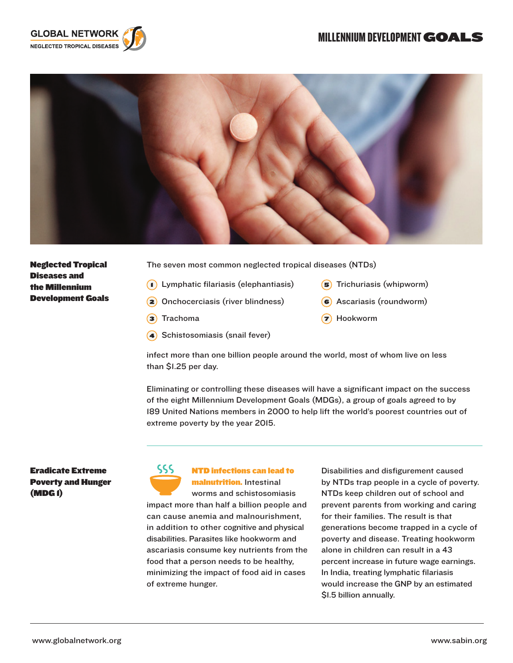# MILLENNIUM DEVELOPMENT GOALS





Neglected Tropical Diseases and the Millennium Development Goals The seven most common neglected tropical diseases (NTDs)

- Lymphatic filariasis (elephantiasis)
- Onchocerciasis (river blindness)
- **3** Trachoma
- Schistosomiasis (snail fever)
- 5 Trichuriasis (whipworm)
- Ascariasis (roundworm)
- **7** Hookworm

infect more than one billion people around the world, most of whom live on less than \$1.25 per day.

Eliminating or controlling these diseases will have a significant impact on the success of the eight Millennium Development Goals (MDGs), a group of goals agreed to by 189 United Nations members in 2000 to help lift the world's poorest countries out of extreme poverty by the year 2015.

## Eradicate Extreme Poverty and Hunger (MDG 1)



#### NTD infections can lead to malnutrition. Intestinal

worms and schistosomiasis worms and scriistosomiasis<br>impact more than half a billion people and can cause anemia and malnourishment, in addition to other cognitive and physical disabilities. Parasites like hookworm and ascariasis consume key nutrients from the food that a person needs to be healthy, minimizing the impact of food aid in cases of extreme hunger. ECONOMIC DEVELOPMENT HUNGER AND NUTRITION HUNGER AND NUTRITION

Disabilities and disfigurement caused by NTDs trap people in a cycle of poverty. NTDs keep children out of school and prevent parents from working and caring for their families. The result is that generations become trapped in a cycle of poverty and disease. Treating hookworm alone in children can result in a 43 percent increase in future wage earnings. In India, treating lymphatic filariasis would increase the GNP by an estimated \$1.5 billion annually.